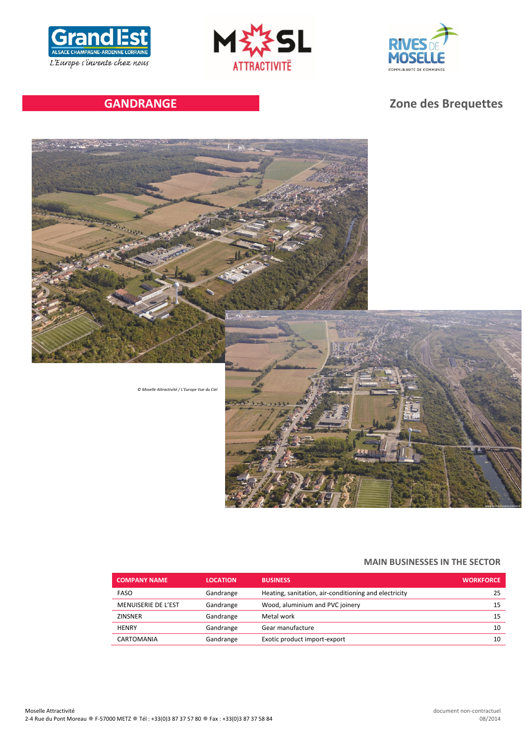





# **GANDRANGE Zone des Brequettes**



*© Moselle Attractivité / L'Europe Vue du Ciel*



#### **MAIN BUSINESSES IN THE SECTOR**

| <b>COMPANY NAME</b> | <b>LOCATION</b> | <b>BUSINESS</b>                                       | <b>WORKFORCE</b> |
|---------------------|-----------------|-------------------------------------------------------|------------------|
| <b>FASO</b>         | Gandrange       | Heating, sanitation, air-conditioning and electricity | 25               |
| MENUISERIE DE L'EST | Gandrange       | Wood, aluminium and PVC joinery                       | 15               |
| <b>ZINSNER</b>      | Gandrange       | Metal work                                            | 15               |
| <b>HENRY</b>        | Gandrange       | Gear manufacture                                      | 10               |
| CARTOMANIA          | Gandrange       | Exotic product import-export                          | 10               |